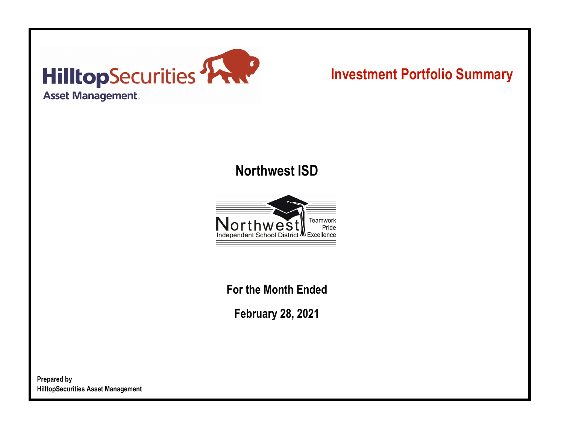

# **Investment Portfolio Summary**

## **Northwest ISD**



**For the Month Ended**

**February 28, 2021**

**Prepared by HilltopSecurities Asset Management**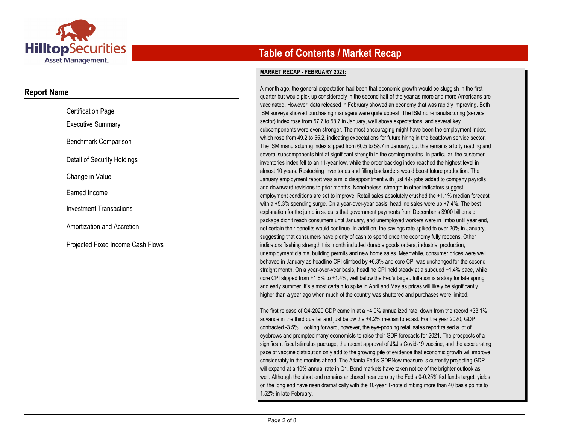

### **Report Name**

| <b>Certification Page</b>         |
|-----------------------------------|
| <b>Executive Summary</b>          |
| Benchmark Comparison              |
| Detail of Security Holdings       |
| Change in Value                   |
| Earned Income                     |
| <b>Investment Transactions</b>    |
| Amortization and Accretion        |
| Projected Fixed Income Cash Flows |

## **Table of Contents / Market Recap**

#### **MARKET RECAP - FEBRUARY 2021:**

A month ago, the general expectation had been that economic growth would be sluggish in the first quarter but would pick up considerably in the second half of the year as more and more Americans are vaccinated. However, data released in February showed an economy that was rapidly improving. Both ISM surveys showed purchasing managers were quite upbeat. The ISM non-manufacturing (service sector) index rose from 57.7 to 58.7 in January, well above expectations, and several key subcomponents were even stronger. The most encouraging might have been the employment index, which rose from 49.2 to 55.2, indicating expectations for future hiring in the beatdown service sector. The ISM manufacturing index slipped from 60.5 to 58.7 in January, but this remains a lofty reading and several subcomponents hint at significant strength in the coming months. In particular, the customer inventories index fell to an 11-year low, while the order backlog index reached the highest level in almost 10 years. Restocking inventories and filling backorders would boost future production. The January employment report was a mild disappointment with just 49k jobs added to company payrolls and downward revisions to prior months. Nonetheless, strength in other indicators suggest employment conditions are set to improve. Retail sales absolutely crushed the +1.1% median forecast with a +5.3% spending surge. On a year-over-year basis, headline sales were up +7.4%. The best explanation for the jump in sales is that government payments from December's \$900 billion aid package didn't reach consumers until January, and unemployed workers were in limbo until year end, not certain their benefits would continue. In addition, the savings rate spiked to over 20% in January, suggesting that consumers have plenty of cash to spend once the economy fully reopens. Other indicators flashing strength this month included durable goods orders, industrial production, unemployment claims, building permits and new home sales. Meanwhile, consumer prices were well behaved in January as headline CPI climbed by +0.3% and core CPI was unchanged for the second straight month. On a year-over-year basis, headline CPI held steady at a subdued +1.4% pace, while core CPI slipped from +1.6% to +1.4%, well below the Fed's target. Inflation is a story for late spring and early summer. It's almost certain to spike in April and May as prices will likely be significantly higher than a year ago when much of the country was shuttered and purchases were limited.

The first release of Q4-2020 GDP came in at a +4.0% annualized rate, down from the record +33.1% advance in the third quarter and just below the +4.2% median forecast. For the year 2020, GDP contracted -3.5%. Looking forward, however, the eye-popping retail sales report raised a lot of eyebrows and prompted many economists to raise their GDP forecasts for 2021. The prospects of a significant fiscal stimulus package, the recent approval of J&J's Covid-19 vaccine, and the accelerating pace of vaccine distribution only add to the growing pile of evidence that economic growth will improve considerably in the months ahead. The Atlanta Fed's GDPNow measure is currently projecting GDP will expand at a 10% annual rate in Q1. Bond markets have taken notice of the brighter outlook as well. Although the short end remains anchored near zero by the Fed's 0-0.25% fed funds target, yields on the long end have risen dramatically with the 10-year T-note climbing more than 40 basis points to 1.52% in late-February.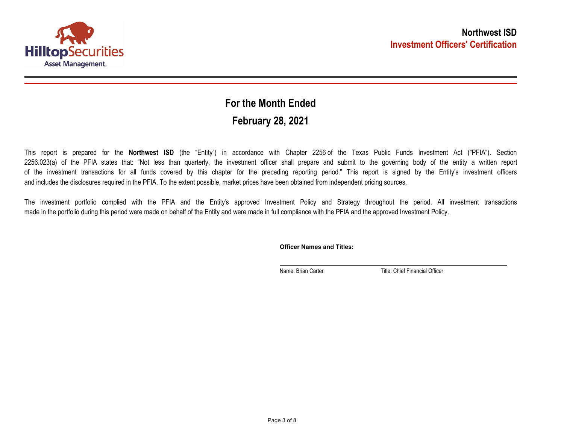

## **February 28, 2021 For the Month Ended**

This report is prepared for the **Northwest ISD** (the "Entity") in accordance with Chapter 2256 of the Texas Public Funds Investment Act ("PFIA"). Section 2256.023(a) of the PFIA states that: "Not less than quarterly, the investment officer shall prepare and submit to the governing body of the entity a written report of the investment transactions for all funds covered by this chapter for the preceding reporting period." This report is signed by the Entity's investment officers and includes the disclosures required in the PFIA. To the extent possible, market prices have been obtained from independent pricing sources.

The investment portfolio complied with the PFIA and the Entity's approved Investment Policy and Strategy throughout the period. All investment transactions made in the portfolio during this period were made on behalf of the Entity and were made in full compliance with the PFIA and the approved Investment Policy.

**Officer Names and Titles:**

Name: Brian Carter Title: Chief Financial Officer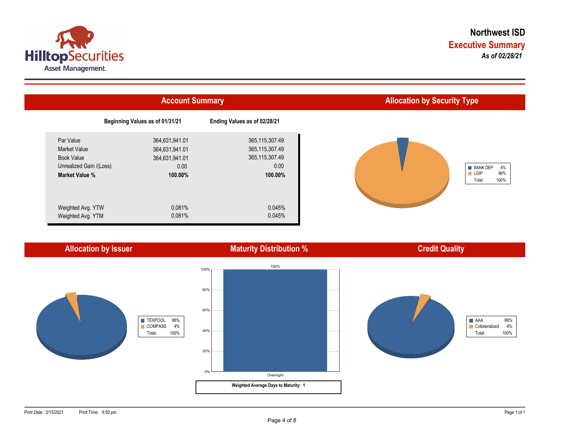



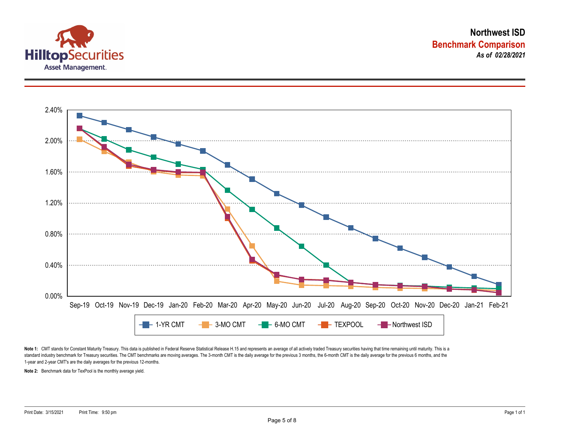



Note 1: CMT stands for Constant Maturity Treasury. This data is published in Federal Reserve Statistical Release H.15 and represents an average of all actively traded Treasury securities having that time remaining until ma standard industry benchmark for Treasury securities. The CMT benchmarks are moving averages. The 3-month CMT is the daily average for the previous 3 months, the 6-month CMT is the daily average for the previous 6 months, a 1-year and 2-year CMT's are the daily averages for the previous 12-months.

**Note 2:** Benchmark data for TexPool is the monthly average yield.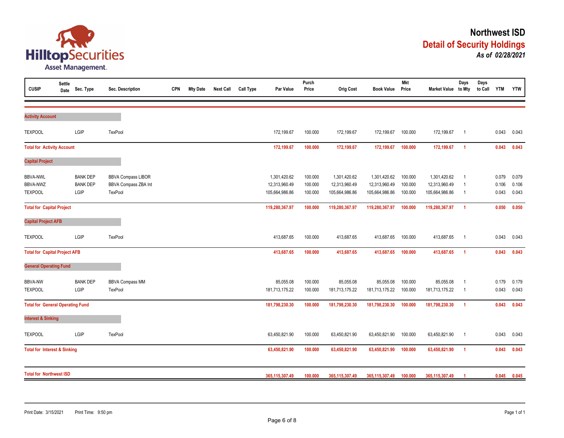

| <b>CUSIP</b>                                         | <b>Settle</b><br>Date | Sec. Type                                  | Sec. Description                                             | <b>CPN</b> | <b>Mty Date</b> | <b>Next Call</b> | <b>Call Type</b> | Par Value                                       | Purch<br>Price                | <b>Orig Cost</b>                                | <b>Book Value</b>                               | <b>Mkt</b><br>Price           | Market Value to Mty                             | Days                                               | Days<br>to Call | <b>YTM</b>              | <b>YTW</b>              |
|------------------------------------------------------|-----------------------|--------------------------------------------|--------------------------------------------------------------|------------|-----------------|------------------|------------------|-------------------------------------------------|-------------------------------|-------------------------------------------------|-------------------------------------------------|-------------------------------|-------------------------------------------------|----------------------------------------------------|-----------------|-------------------------|-------------------------|
| <b>Activity Account</b>                              |                       |                                            |                                                              |            |                 |                  |                  |                                                 |                               |                                                 |                                                 |                               |                                                 |                                                    |                 |                         |                         |
| <b>TEXPOOL</b>                                       |                       | LGIP                                       | TexPool                                                      |            |                 |                  |                  | 172,199.67                                      | 100.000                       | 172,199.67                                      | 172,199.67                                      | 100.000                       | 172,199.67                                      | $\overline{1}$                                     |                 | 0.043                   | 0.043                   |
| <b>Total for Activity Account</b>                    |                       |                                            |                                                              |            |                 |                  |                  | 172,199.67                                      | 100.000                       | 172,199.67                                      | 172,199.67                                      | 100.000                       | 172,199.67                                      | $\overline{1}$                                     |                 | 0.043                   | 0.043                   |
| <b>Capital Project</b>                               |                       |                                            |                                                              |            |                 |                  |                  |                                                 |                               |                                                 |                                                 |                               |                                                 |                                                    |                 |                         |                         |
| <b>BBVA-NWL</b><br><b>BBVA-NWZ</b><br><b>TEXPOOL</b> |                       | <b>BANK DEP</b><br><b>BANK DEP</b><br>LGIP | <b>BBVA Compass LIBOR</b><br>BBVA Compass ZBA Int<br>TexPool |            |                 |                  |                  | 1,301,420.62<br>12,313,960.49<br>105,664,986.86 | 100.000<br>100.000<br>100.000 | 1,301,420.62<br>12,313,960.49<br>105,664,986.86 | 1,301,420.62<br>12,313,960.49<br>105,664,986.86 | 100.000<br>100.000<br>100.000 | 1,301,420.62<br>12,313,960.49<br>105,664,986.86 | $\overline{1}$<br>$\overline{1}$<br>$\overline{1}$ |                 | 0.079<br>0.106<br>0.043 | 0.079<br>0.106<br>0.043 |
| <b>Total for Capital Project</b>                     |                       |                                            |                                                              |            |                 |                  |                  | 119,280,367.97                                  | 100.000                       | 119,280,367.97                                  | 119,280,367.97                                  | 100.000                       | 119,280,367.97                                  | $\overline{1}$                                     |                 | 0.050                   | 0.050                   |
| <b>Capital Project AFB</b>                           |                       |                                            |                                                              |            |                 |                  |                  |                                                 |                               |                                                 |                                                 |                               |                                                 |                                                    |                 |                         |                         |
| <b>TEXPOOL</b>                                       |                       | LGIP                                       | TexPool                                                      |            |                 |                  |                  | 413,687.65                                      | 100.000                       | 413,687.65                                      | 413,687.65                                      | 100.000                       | 413,687.65                                      | $\overline{1}$                                     |                 | 0.043                   | 0.043                   |
| <b>Total for Capital Project AFB</b>                 |                       |                                            |                                                              |            |                 |                  |                  | 413,687.65                                      | 100.000                       | 413,687.65                                      | 413,687.65                                      | 100.000                       | 413,687.65                                      | $\overline{1}$                                     |                 | 0.043                   | 0.043                   |
| <b>General Operating Fund</b>                        |                       |                                            |                                                              |            |                 |                  |                  |                                                 |                               |                                                 |                                                 |                               |                                                 |                                                    |                 |                         |                         |
| <b>BBVA-NW</b><br><b>TEXPOOL</b>                     |                       | <b>BANK DEP</b><br>LGIP                    | <b>BBVA Compass MM</b><br>TexPool                            |            |                 |                  |                  | 85,055.08<br>181,713,175.22                     | 100.000<br>100.000            | 85,055.08<br>181,713,175.22                     | 85,055.08<br>181,713,175.22                     | 100.000<br>100.000            | 85,055.08<br>181,713,175.22                     | $\overline{1}$<br>- 1                              |                 | 0.179<br>0.043          | 0.179<br>0.043          |
| <b>Total for General Operating Fund</b>              |                       |                                            |                                                              |            |                 |                  |                  | 181,798,230.30                                  | 100.000                       | 181,798,230.30                                  | 181,798,230.30                                  | 100.000                       | 181,798,230.30                                  | $\overline{1}$                                     |                 | 0.043                   | 0.043                   |
| <b>Interest &amp; Sinking</b>                        |                       |                                            |                                                              |            |                 |                  |                  |                                                 |                               |                                                 |                                                 |                               |                                                 |                                                    |                 |                         |                         |
| <b>TEXPOOL</b>                                       |                       | LGIP                                       | TexPool                                                      |            |                 |                  |                  | 63,450,821.90                                   | 100.000                       | 63,450,821.90                                   | 63,450,821.90                                   | 100.000                       | 63,450,821.90                                   | $\overline{1}$                                     |                 | 0.043                   | 0.043                   |
| <b>Total for Interest &amp; Sinking</b>              |                       |                                            |                                                              |            |                 |                  |                  | 63,450,821.90                                   | 100.000                       | 63,450,821.90                                   | 63,450,821.90                                   | 100.000                       | 63,450,821.90                                   | $\overline{1}$                                     |                 | 0.043                   | 0.043                   |
| <b>Total for Northwest ISD</b>                       |                       |                                            |                                                              |            |                 | 365,115,307.49   | 100.000          | 365,115,307.49                                  | 365,115,307.49                | 100.000                                         | 365,115,307.49                                  | -1                            |                                                 | 0.045                                              | 0.045           |                         |                         |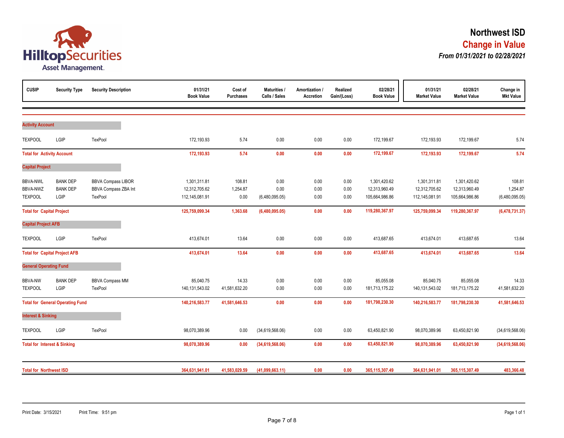

| <b>CUSIP</b>                            | <b>Security Type</b>                    | <b>Security Description</b> | 01/31/21<br><b>Book Value</b> | Cost of<br>Purchases | Maturities /<br>Calls / Sales | Amortization /<br>Accretion | Realized<br>Gain/(Loss) | 02/28/21<br><b>Book Value</b> | 01/31/21<br><b>Market Value</b> | 02/28/21<br><b>Market Value</b> | Change in<br><b>Mkt Value</b> |
|-----------------------------------------|-----------------------------------------|-----------------------------|-------------------------------|----------------------|-------------------------------|-----------------------------|-------------------------|-------------------------------|---------------------------------|---------------------------------|-------------------------------|
|                                         |                                         |                             |                               |                      |                               |                             |                         |                               |                                 |                                 |                               |
| <b>Activity Account</b>                 |                                         |                             |                               |                      |                               |                             |                         |                               |                                 |                                 |                               |
| <b>TEXPOOL</b>                          | LGIP                                    | <b>TexPool</b>              | 172,193.93                    | 5.74                 | 0.00                          | 0.00                        | 0.00                    | 172,199.67                    | 172,193.93                      | 172,199.67                      | 5.74                          |
| <b>Total for Activity Account</b>       |                                         |                             | 172,193.93                    | 5.74                 | 0.00                          | 0.00                        | 0.00                    | 172,199.67                    | 172,193.93                      | 172,199.67                      | 5.74                          |
| <b>Capital Project</b>                  |                                         |                             |                               |                      |                               |                             |                         |                               |                                 |                                 |                               |
| <b>BBVA-NWL</b>                         | <b>BANK DEP</b>                         | <b>BBVA Compass LIBOR</b>   | 1,301,311.81                  | 108.81               | 0.00                          | 0.00                        | 0.00                    | 1,301,420.62                  | 1,301,311.81                    | 1,301,420.62                    | 108.81                        |
| BBVA-NWZ                                | <b>BANK DEP</b>                         | BBVA Compass ZBA Int        | 12,312,705.62                 | 1,254.87             | 0.00                          | 0.00                        | 0.00                    | 12,313,960.49                 | 12,312,705.62                   | 12,313,960.49                   | 1,254.87                      |
| <b>TEXPOOL</b>                          | LGIP                                    | TexPool                     | 112,145,081.91                | 0.00                 | (6,480,095.05)                | 0.00                        | 0.00                    | 105,664,986.86                | 112,145,081.91                  | 105,664,986.86                  | (6,480,095.05)                |
| <b>Total for Capital Project</b>        |                                         |                             | 125,759,099.34                | 1,363.68             | (6,480,095.05)                | 0.00                        | 0.00                    | 119,280,367.97                | 125,759,099.34                  | 119,280,367.97                  | (6,478,731.37)                |
| <b>Capital Project AFB</b>              |                                         |                             |                               |                      |                               |                             |                         |                               |                                 |                                 |                               |
| <b>TEXPOOL</b>                          | LGIP                                    | TexPool                     | 413,674.01                    | 13.64                | 0.00                          | 0.00                        | 0.00                    | 413,687.65                    | 413,674.01                      | 413,687.65                      | 13.64                         |
|                                         | <b>Total for Capital Project AFB</b>    |                             | 413,674.01                    | 13.64                | 0.00                          | 0.00                        | 0.00                    | 413,687.65                    | 413,674.01                      | 413,687.65                      | 13.64                         |
| <b>General Operating Fund</b>           |                                         |                             |                               |                      |                               |                             |                         |                               |                                 |                                 |                               |
| <b>BBVA-NW</b>                          | <b>BANK DEP</b>                         | <b>BBVA Compass MM</b>      | 85,040.75                     | 14.33                | 0.00                          | 0.00                        | 0.00                    | 85,055.08                     | 85,040.75                       | 85,055.08                       | 14.33                         |
| <b>TEXPOOL</b>                          | LGIP                                    | TexPool                     | 140,131,543.02                | 41,581,632.20        | 0.00                          | 0.00                        | 0.00                    | 181,713,175.22                | 140,131,543.02                  | 181,713,175.22                  | 41,581,632.20                 |
|                                         | <b>Total for General Operating Fund</b> |                             | 140,216,583.77                | 41,581,646.53        | 0.00                          | 0.00                        | 0.00                    | 181,798,230.30                | 140,216,583.77                  | 181,798,230.30                  | 41,581,646.53                 |
| <b>Interest &amp; Sinking</b>           |                                         |                             |                               |                      |                               |                             |                         |                               |                                 |                                 |                               |
| <b>TEXPOOL</b>                          | LGIP                                    | TexPool                     | 98,070,389.96                 | 0.00                 | (34,619,568.06)               | 0.00                        | 0.00                    | 63,450,821.90                 | 98,070,389.96                   | 63,450,821.90                   | (34,619,568.06)               |
| <b>Total for Interest &amp; Sinking</b> |                                         |                             | 98,070,389.96                 | 0.00                 | (34,619,568.06)               | 0.00                        | 0.00                    | 63,450,821.90                 | 98,070,389.96                   | 63,450,821.90                   | (34,619,568.06)               |
| <b>Total for Northwest ISD</b>          |                                         |                             | 364,631,941.01                | 41,583,029.59        | (41,099,663.11)               | 0.00                        | 0.00                    | 365,115,307.49                | 364,631,941.01                  | 365,115,307.49                  | 483,366.48                    |